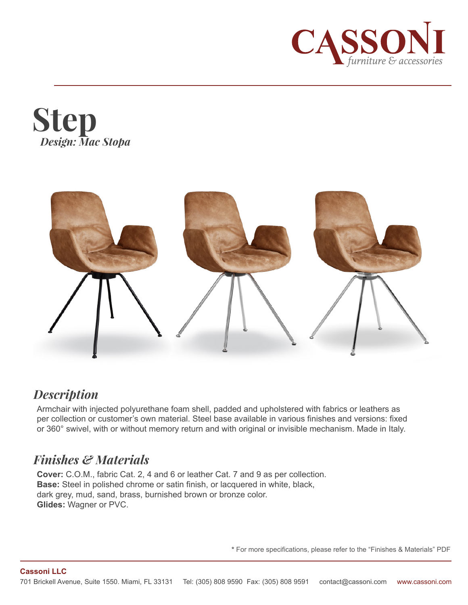





### *Description*

Armchair with injected polyurethane foam shell, padded and upholstered with fabrics or leathers as per collection or customer's own material. Steel base available in various finishes and versions: fixed or 360° swivel, with or without memory return and with original or invisible mechanism. Made in Italy.

# *Finishes & Materials*

**Cover:** C.O.M., fabric Cat. 2, 4 and 6 or leather Cat. 7 and 9 as per collection. **Base:** Steel in polished chrome or satin finish, or lacquered in white, black, dark grey, mud, sand, brass, burnished brown or bronze color. **Glides:** Wagner or PVC.

**\*** For more specifications, please refer to the "Finishes & Materials" PDF